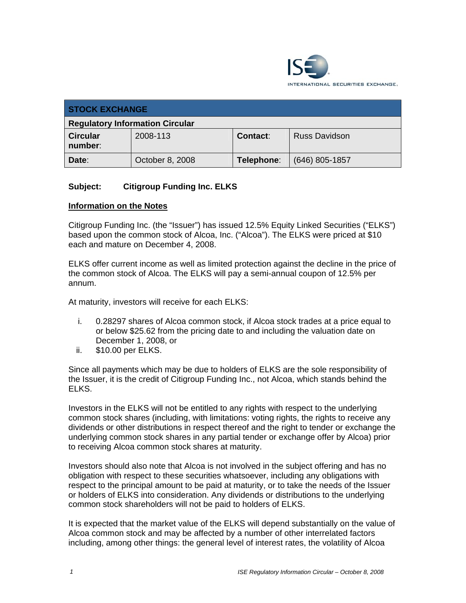

| <b>STOCK EXCHANGE</b>                  |                 |                 |                      |
|----------------------------------------|-----------------|-----------------|----------------------|
| <b>Regulatory Information Circular</b> |                 |                 |                      |
| <b>Circular</b><br>number:             | 2008-113        | <b>Contact:</b> | <b>Russ Davidson</b> |
| Date:                                  | October 8, 2008 | Telephone:      | $(646)$ 805-1857     |

# **Subject: Citigroup Funding Inc. ELKS**

#### **Information on the Notes**

Citigroup Funding Inc. (the "Issuer") has issued 12.5% Equity Linked Securities ("ELKS") based upon the common stock of Alcoa, Inc. ("Alcoa"). The ELKS were priced at \$10 each and mature on December 4, 2008.

ELKS offer current income as well as limited protection against the decline in the price of the common stock of Alcoa. The ELKS will pay a semi-annual coupon of 12.5% per annum.

At maturity, investors will receive for each ELKS:

- i. 0.28297 shares of Alcoa common stock, if Alcoa stock trades at a price equal to or below \$25.62 from the pricing date to and including the valuation date on December 1, 2008, or
- ii. \$10.00 per ELKS.

Since all payments which may be due to holders of ELKS are the sole responsibility of the Issuer, it is the credit of Citigroup Funding Inc., not Alcoa, which stands behind the ELKS.

Investors in the ELKS will not be entitled to any rights with respect to the underlying common stock shares (including, with limitations: voting rights, the rights to receive any dividends or other distributions in respect thereof and the right to tender or exchange the underlying common stock shares in any partial tender or exchange offer by Alcoa) prior to receiving Alcoa common stock shares at maturity.

Investors should also note that Alcoa is not involved in the subject offering and has no obligation with respect to these securities whatsoever, including any obligations with respect to the principal amount to be paid at maturity, or to take the needs of the Issuer or holders of ELKS into consideration. Any dividends or distributions to the underlying common stock shareholders will not be paid to holders of ELKS.

It is expected that the market value of the ELKS will depend substantially on the value of Alcoa common stock and may be affected by a number of other interrelated factors including, among other things: the general level of interest rates, the volatility of Alcoa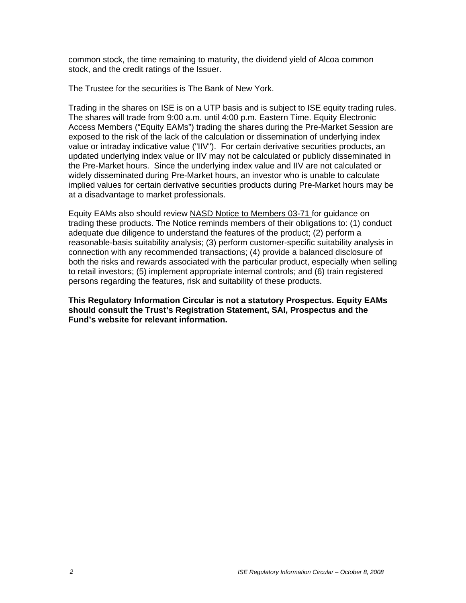common stock, the time remaining to maturity, the dividend yield of Alcoa common stock, and the credit ratings of the Issuer.

The Trustee for the securities is The Bank of New York.

Trading in the shares on ISE is on a UTP basis and is subject to ISE equity trading rules. The shares will trade from 9:00 a.m. until 4:00 p.m. Eastern Time. Equity Electronic Access Members ("Equity EAMs") trading the shares during the Pre-Market Session are exposed to the risk of the lack of the calculation or dissemination of underlying index value or intraday indicative value ("IIV"). For certain derivative securities products, an updated underlying index value or IIV may not be calculated or publicly disseminated in the Pre-Market hours. Since the underlying index value and IIV are not calculated or widely disseminated during Pre-Market hours, an investor who is unable to calculate implied values for certain derivative securities products during Pre-Market hours may be at a disadvantage to market professionals.

Equity EAMs also should review NASD Notice to Members 03-71 for guidance on trading these products. The Notice reminds members of their obligations to: (1) conduct adequate due diligence to understand the features of the product; (2) perform a reasonable-basis suitability analysis; (3) perform customer-specific suitability analysis in connection with any recommended transactions; (4) provide a balanced disclosure of both the risks and rewards associated with the particular product, especially when selling to retail investors; (5) implement appropriate internal controls; and (6) train registered persons regarding the features, risk and suitability of these products.

**This Regulatory Information Circular is not a statutory Prospectus. Equity EAMs should consult the Trust's Registration Statement, SAI, Prospectus and the Fund's website for relevant information.**